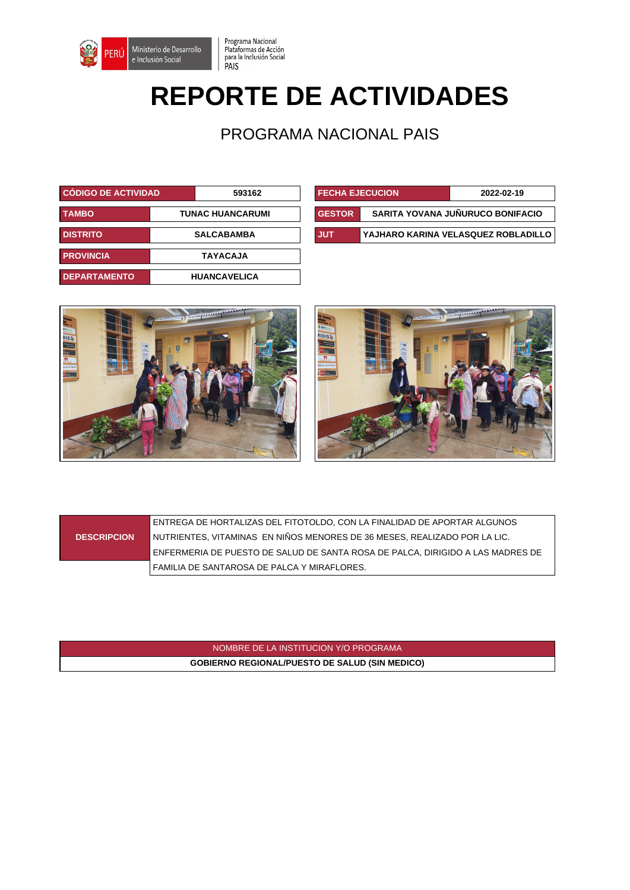

## **REPORTE DE ACTIVIDADES**

Programa Nacional<br>Plataformas de Acción<br>para la Inclusión Social<br>PAIS

PROGRAMA NACIONAL PAIS

| <b>CÓDIGO DE ACTIVIDAD.</b> |  | <b>FECHA EJECUCION</b><br>593162 |  | 2022-02-19    |                                    |
|-----------------------------|--|----------------------------------|--|---------------|------------------------------------|
| <b>TAMBO</b>                |  | <b>TUNAC HUANCARUMI</b>          |  | <b>GESTOR</b> | SARITA YOVANA JUÑURUCO BONIFACIO   |
| <b>DISTRITO</b>             |  | <b>SALCABAMBA</b>                |  | <b>JUT</b>    | YAJHARO KARINA VELASQUEZ ROBLADILI |
| <b>PROVINCIA</b>            |  | <b>TAYACAJA</b>                  |  |               |                                    |
| <b>DEPARTAMENTO</b>         |  | <b>HUANCAVELICA</b>              |  |               |                                    |

| <b>CÓDIGO DE ACTIVIDAD</b> |                         | 593162 | <b>FECHA EJECUCION</b> |                                  | 2022-02-19                          |
|----------------------------|-------------------------|--------|------------------------|----------------------------------|-------------------------------------|
| <b>TAMBO</b>               | <b>TUNAC HUANCARUMI</b> |        | <b>GESTOR</b>          | SARITA YOVANA JUÑURUCO BONIFACIO |                                     |
| <b>DISTRITO</b>            | <b>SALCABAMBA</b>       |        | <b>JUT</b>             |                                  | YAJHARO KARINA VELASQUEZ ROBLADILLO |





|                    | ENTREGA DE HORTALIZAS DEL FITOTOLDO, CON LA FINALIDAD DE APORTAR ALGUNOS       |
|--------------------|--------------------------------------------------------------------------------|
| <b>DESCRIPCION</b> | I NUTRIENTES. VITAMINAS  EN NIÑOS MENORES DE 36 MESES. REALIZADO POR LA LIC.   |
|                    | ENFERMERIA DE PUESTO DE SALUD DE SANTA ROSA DE PALCA, DIRIGIDO A LAS MADRES DE |
|                    | FAMILIA DE SANTAROSA DE PALCA Y MIRAFLORES.                                    |

NOMBRE DE LA INSTITUCION Y/O PROGRAMA **GOBIERNO REGIONAL/PUESTO DE SALUD (SIN MEDICO)**